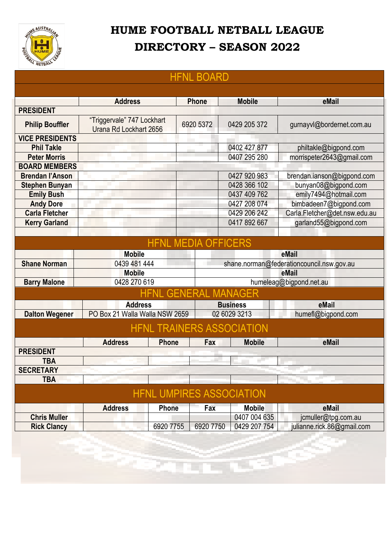

## **HUME FOOTBALL NETBALL LEAGUE DIRECTORY – SEASON 2022**

| <b>HFNL BOARD</b>      |                                                      |                            |              |                                           |                               |  |
|------------------------|------------------------------------------------------|----------------------------|--------------|-------------------------------------------|-------------------------------|--|
|                        |                                                      |                            |              |                                           |                               |  |
|                        | <b>Address</b>                                       |                            | <b>Phone</b> | <b>Mobile</b>                             | eMail                         |  |
| <b>PRESIDENT</b>       |                                                      |                            |              |                                           |                               |  |
| <b>Philip Bouffler</b> | "Triggervale" 747 Lockhart<br>Urana Rd Lockhart 2656 |                            | 6920 5372    | 0429 205 372                              | gurnayvl@bordernet.com.au     |  |
| <b>VICE PRESIDENTS</b> |                                                      |                            |              |                                           |                               |  |
| <b>Phil Takle</b>      |                                                      |                            |              | 0402 427 877                              | philtakle@bigpond.com         |  |
| <b>Peter Morris</b>    |                                                      |                            |              | 0407 295 280                              | morrispeter2643@gmail.com     |  |
| <b>BOARD MEMBERS</b>   |                                                      |                            |              |                                           |                               |  |
| <b>Brendan l'Anson</b> |                                                      |                            |              | 0427 920 983                              | brendan.ianson@bigpond.com    |  |
| <b>Stephen Bunyan</b>  |                                                      |                            |              | 0428 366 102                              | bunyan08@bigpond.com          |  |
| <b>Emily Bush</b>      |                                                      |                            |              | 0437 409 762                              | emily7494@hotmail.com         |  |
| <b>Andy Dore</b>       |                                                      |                            |              | 0427 208 074                              | bimbadeen7@bigpond.com        |  |
| <b>Carla Fletcher</b>  |                                                      |                            |              | 0429 206 242                              | Carla.Fletcher@det.nsw.edu.au |  |
| <b>Kerry Garland</b>   |                                                      |                            |              | 0417 892 667                              | garland55@bigpond.com         |  |
|                        |                                                      |                            |              |                                           |                               |  |
|                        |                                                      | <b>HFNL MEDIA OFFICERS</b> |              |                                           |                               |  |
|                        | <b>Mobile</b>                                        |                            |              |                                           | eMail                         |  |
| <b>Shane Norman</b>    | 0439 481 444                                         |                            |              | shane.norman@federationcouncil.nsw.gov.au |                               |  |
|                        | <b>Mobile</b>                                        |                            |              | eMail                                     |                               |  |
| <b>Barry Malone</b>    | 0428 270 619                                         |                            |              | humeleag@bigpond.net.au                   |                               |  |
|                        |                                                      |                            |              | <b>HFNL GENERAL MANAGER</b>               |                               |  |
|                        | <b>Address</b>                                       |                            |              | <b>Business</b>                           | eMail                         |  |
| <b>Dalton Wegener</b>  | PO Box 21 Walla Walla NSW 2659                       |                            | 02 6029 3213 |                                           | humefl@bigpond.com            |  |
|                        |                                                      |                            |              | <b>HFNL TRAINERS ASSOCIATION</b>          |                               |  |
|                        | <b>Address</b>                                       | <b>Phone</b>               | Fax          | <b>Mobile</b>                             | eMail                         |  |
| <b>PRESIDENT</b>       |                                                      |                            |              |                                           |                               |  |
| <b>TBA</b>             |                                                      |                            |              |                                           |                               |  |
| <b>SECRETARY</b>       |                                                      |                            |              |                                           |                               |  |
| <b>TBA</b>             |                                                      |                            |              |                                           |                               |  |
|                        |                                                      |                            |              | <b>HFNL UMPIRES ASSOCIATION</b>           |                               |  |
|                        |                                                      |                            |              |                                           |                               |  |
|                        | <b>Address</b>                                       | <b>Phone</b>               | Fax          | <b>Mobile</b>                             | eMail                         |  |
| <b>Chris Muller</b>    |                                                      |                            |              | 0407 004 635                              | jcmuller@tpg.com.au           |  |
| <b>Rick Clancy</b>     |                                                      | 6920 7755                  | 6920 7750    | 0429 207 754                              | julianne.rick.86@gmail.com    |  |
|                        |                                                      |                            |              |                                           |                               |  |
|                        |                                                      |                            |              |                                           |                               |  |

San Const

**Service** 

S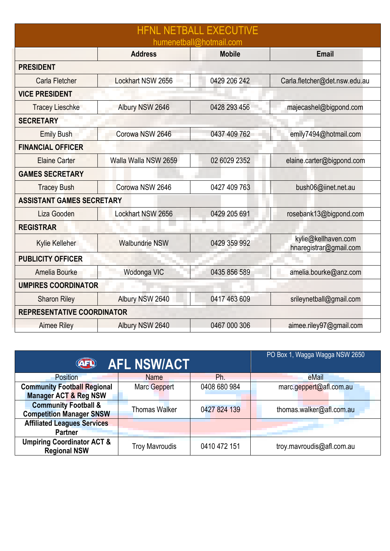| <b>HFNL NETBALL EXECUTIVE</b><br>humenetball@hotmail.com |                       |               |                                               |  |  |  |  |
|----------------------------------------------------------|-----------------------|---------------|-----------------------------------------------|--|--|--|--|
|                                                          | <b>Address</b>        | <b>Mobile</b> | <b>Email</b>                                  |  |  |  |  |
| <b>PRESIDENT</b>                                         |                       |               |                                               |  |  |  |  |
| Carla Fletcher                                           | Lockhart NSW 2656     | 0429 206 242  | Carla.fletcher@det.nsw.edu.au                 |  |  |  |  |
| <b>VICE PRESIDENT</b>                                    |                       |               |                                               |  |  |  |  |
| <b>Tracey Lieschke</b>                                   | Albury NSW 2646       | 0428 293 456  | majecashel@bigpond.com                        |  |  |  |  |
| <b>SECRETARY</b>                                         |                       |               |                                               |  |  |  |  |
| <b>Emily Bush</b>                                        | Corowa NSW 2646       | 0437 409 762  | emily7494@hotmail.com                         |  |  |  |  |
| <b>FINANCIAL OFFICER</b>                                 |                       |               |                                               |  |  |  |  |
| <b>Elaine Carter</b>                                     | Walla Walla NSW 2659  | 02 6029 2352  | elaine.carter@bigpond.com                     |  |  |  |  |
| <b>GAMES SECRETARY</b>                                   |                       |               |                                               |  |  |  |  |
| <b>Tracey Bush</b>                                       | Corowa NSW 2646       | 0427 409 763  | bush06@iinet.net.au                           |  |  |  |  |
| <b>ASSISTANT GAMES SECRETARY</b>                         |                       |               |                                               |  |  |  |  |
| Liza Gooden                                              | Lockhart NSW 2656     | 0429 205 691  | rosebank13@bigpond.com                        |  |  |  |  |
| <b>REGISTRAR</b>                                         |                       |               |                                               |  |  |  |  |
| Kylie Kelleher                                           | <b>Walbundrie NSW</b> | 0429 359 992  | kylie@kellhaven.com<br>hnaregistrar@gmail.com |  |  |  |  |
| <b>PUBLICITY OFFICER</b>                                 |                       |               |                                               |  |  |  |  |
| Amelia Bourke                                            | Wodonga VIC           | 0435 856 589  | amelia.bourke@anz.com                         |  |  |  |  |
| <b>UMPIRES COORDINATOR</b>                               |                       |               |                                               |  |  |  |  |
| <b>Sharon Riley</b>                                      | Albury NSW 2640       | 0417 463 609  | srileynetball@gmail.com                       |  |  |  |  |
| REPRESENTATIVE COORDINATOR                               |                       |               |                                               |  |  |  |  |
| <b>Aimee Riley</b>                                       | Albury NSW 2640       | 0467 000 306  | aimee.riley97@gmail.com                       |  |  |  |  |

| <b>AFL NSW/ACT</b><br><b>AFL</b>                             | PO Box 1, Wagga Wagga NSW 2650 |              |                           |
|--------------------------------------------------------------|--------------------------------|--------------|---------------------------|
| Position                                                     | <b>Name</b>                    | Ph.          | eMail                     |
| <b>Community Football Regional</b>                           | Marc Geppert                   | 0408 680 984 | marc.geppert@afl.com.au   |
| <b>Manager ACT &amp; Reg NSW</b>                             |                                |              |                           |
| <b>Community Football &amp;</b>                              | <b>Thomas Walker</b>           | 0427 824 139 | thomas.walker@afl.com.au  |
| <b>Competition Manager SNSW</b>                              |                                |              |                           |
| <b>Affiliated Leagues Services</b>                           |                                |              |                           |
| <b>Partner</b>                                               |                                |              |                           |
| <b>Umpiring Coordinator ACT &amp;</b><br><b>Regional NSW</b> | <b>Troy Mavroudis</b>          | 0410 472 151 | troy.mavroudis@afl.com.au |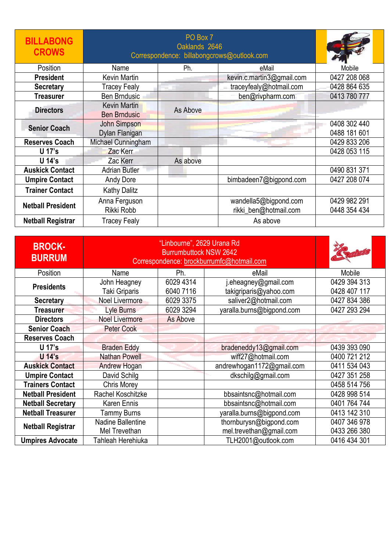| <b>BILLABONG</b><br><b>CROWS</b> | PO Box 7<br>Oaklands 2646<br>Correspondence: billabongcrows@outlook.com |          |                                                |                              |
|----------------------------------|-------------------------------------------------------------------------|----------|------------------------------------------------|------------------------------|
| Position                         | Name                                                                    | Ph.      | eMail                                          | Mobile                       |
| <b>President</b>                 | Kevin Martin                                                            |          | kevin.c.martin3@gmail.com                      | 0427 208 068                 |
| <b>Secretary</b>                 | <b>Tracey Fealy</b>                                                     |          | traceyfealy@hotmail.com                        | 0428 864 635                 |
| <b>Treasurer</b>                 | Ben Brndusic                                                            |          | ben@rivpharm.com                               | 0413 780 777                 |
| <b>Directors</b>                 | <b>Kevin Martin</b><br><b>Ben Brndusic</b>                              | As Above |                                                |                              |
| <b>Senior Coach</b>              | <b>John Simpson</b><br>Dylan Flanigan                                   |          |                                                | 0408 302 440<br>0488 181 601 |
| <b>Reserves Coach</b>            | Michael Cunningham                                                      |          |                                                | 0429 833 206                 |
| U 17's                           | Zac Kerr                                                                |          |                                                | 0428 053 115                 |
| U 14's                           | Zac Kerr                                                                | As above |                                                |                              |
| <b>Auskick Contact</b>           | <b>Adrian Butler</b>                                                    |          |                                                | 0490 831 371                 |
| <b>Umpire Contact</b>            | Andy Dore                                                               |          | bimbadeen7@bigpond.com                         | 0427 208 074                 |
| <b>Trainer Contact</b>           | <b>Kathy Dalitz</b>                                                     |          |                                                |                              |
| <b>Netball President</b>         | Anna Ferguson<br>Rikki Robb                                             |          | wandella5@bigpond.com<br>rikki_ben@hotmail.com | 0429 982 291<br>0448 354 434 |
| <b>Netball Registrar</b>         | Tracey Fealy                                                            |          | As above                                       |                              |

| <b>BROCK-</b><br><b>BURRUM</b> | "Linbourne", 2629 Urana Rd<br><b>Burrumbuttock NSW 2642</b><br>Correspondence: brockburrumfc@hotmail.com |                        |                                                |                              |
|--------------------------------|----------------------------------------------------------------------------------------------------------|------------------------|------------------------------------------------|------------------------------|
| Position                       | Name                                                                                                     | Ph.                    | eMail                                          | Mobile                       |
| <b>Presidents</b>              | John Heagney<br>Taki Griparis                                                                            | 6029 4314<br>6040 7116 | j.eheagney@gmail.com<br>takigriparis@yahoo.com | 0429 394 313<br>0428 407 117 |
| <b>Secretary</b>               | Noel Livermore                                                                                           | 6029 3375              | saliver2@hotmail.com                           | 0427 834 386                 |
| <b>Treasurer</b>               | <b>Lyle Burns</b>                                                                                        | 6029 3294              | yaralla.burns@bigpond.com                      | 0427 293 294                 |
| <b>Directors</b>               | <b>Noel Livermore</b>                                                                                    | As Above               |                                                |                              |
| <b>Senior Coach</b>            | <b>Peter Cook</b>                                                                                        |                        |                                                |                              |
| <b>Reserves Coach</b>          |                                                                                                          |                        |                                                |                              |
| U 17's                         | <b>Braden Eddy</b>                                                                                       |                        | bradeneddy13@gmail.com                         | 0439 393 090                 |
| U 14's                         | <b>Nathan Powell</b>                                                                                     |                        | wiff27@hotmail.com                             | 0400 721 212                 |
| <b>Auskick Contact</b>         | <b>Andrew Hogan</b>                                                                                      |                        | andrewhogan1172@gmail.com                      | 0411 534 043                 |
| <b>Umpire Contact</b>          | David Schilg                                                                                             |                        | dkschilg@gmail.com                             | 0427 351 258                 |
| <b>Trainers Contact</b>        | <b>Chris Morey</b>                                                                                       |                        |                                                | 0458 514 756                 |
| <b>Netball President</b>       | Rachel Koschitzke                                                                                        |                        | bbsaintsnc@hotmail.com                         | 0428 998 514                 |
| <b>Netball Secretary</b>       | Karen Ennis                                                                                              |                        | bbsaintsnc@hotmail.com                         | 0401 764 744                 |
| <b>Netball Treasurer</b>       | Tammy Burns                                                                                              |                        | yaralla.burns@bigpond.com                      | 0413 142 310                 |
| <b>Netball Registrar</b>       | Nadine Ballentine                                                                                        |                        | thornburysn@bigpond.com                        | 0407 346 978                 |
|                                | Mel Trevethan                                                                                            |                        | mel.trevethan@gmail.com                        | 0433 266 380                 |
| <b>Umpires Advocate</b>        | Tahleah Herehiuka                                                                                        |                        | TLH2001@outlook.com                            | 0416 434 301                 |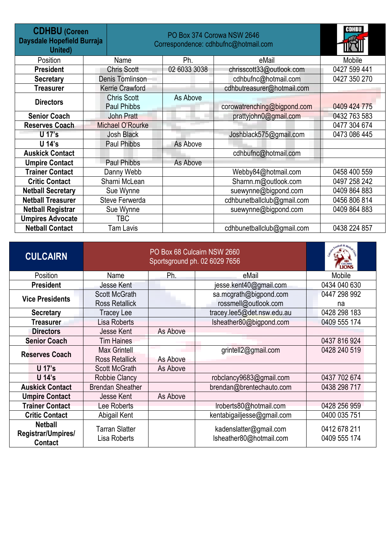| <b>CDHBU (Coreen</b><br>Daysdale Hopefield Burraja<br>United) |                                          | PO Box 374 Corowa NSW 2646<br>Correspondence: cdhbufnc@hotmail.com |                             |              |  |
|---------------------------------------------------------------|------------------------------------------|--------------------------------------------------------------------|-----------------------------|--------------|--|
| Position                                                      | Name                                     | Ph.                                                                | eMail                       | Mobile       |  |
| <b>President</b>                                              | <b>Chris Scott</b>                       | 02 6033 3038                                                       | chrisscott33@outlook.com    | 0427 599 441 |  |
| <b>Secretary</b>                                              | Denis Tomlinson                          |                                                                    | cdhbufnc@hotmail.com        | 0427 350 270 |  |
| <b>Treasurer</b>                                              | Kerrie Crawford                          |                                                                    | cdhbutreasurer@hotmail.com  |              |  |
| <b>Directors</b>                                              | <b>Chris Scott</b><br><b>Paul Phibbs</b> | As Above                                                           | corowatrenching@bigpond.com | 0409 424 775 |  |
| <b>Senior Coach</b>                                           | <b>John Pratt</b>                        |                                                                    | prattyjohn0@gmail.com       | 0432 763 583 |  |
| <b>Reserves Coach</b>                                         | Michael O'Rourke                         |                                                                    |                             | 0477 304 674 |  |
| U 17's                                                        | <b>Josh Black</b>                        |                                                                    | Joshblack575@gmail.com      | 0473 086 445 |  |
| U 14's                                                        | <b>Paul Phibbs</b>                       | As Above                                                           |                             |              |  |
| <b>Auskick Contact</b>                                        |                                          |                                                                    | cdhbufnc@hotmail.com        |              |  |
| <b>Umpire Contact</b>                                         | Paul Phibbs                              | As Above                                                           |                             |              |  |
| <b>Trainer Contact</b>                                        | Danny Webb                               |                                                                    | Webby84@hotmail.com         | 0458 400 559 |  |
| <b>Critic Contact</b>                                         | Sharni McLean                            |                                                                    | Sharnn.m@outlook.com        | 0497 258 242 |  |
| <b>Netball Secretary</b>                                      | Sue Wynne                                |                                                                    | suewynne@bigpond.com        | 0409 864 883 |  |
| <b>Netball Treasurer</b>                                      | Steve Ferwerda                           |                                                                    | cdhbunetballclub@gmail.com  | 0456 806 814 |  |
| <b>Netball Registrar</b>                                      | Sue Wynne                                |                                                                    | suewynne@bigpond.com        | 0409 864 883 |  |
| <b>Umpires Advocate</b>                                       | TBC                                      |                                                                    |                             |              |  |
| <b>Netball Contact</b>                                        | <b>Tam Lavis</b>                         |                                                                    | cdhbunetballclub@gmail.com  | 0438 224 857 |  |

| <b>CULCAIRN</b>                      |                         | CUICAIRN |                            |              |
|--------------------------------------|-------------------------|----------|----------------------------|--------------|
| Position                             | Name                    | Ph.      | eMail                      | Mobile       |
| <b>President</b>                     | Jesse Kent              |          | jesse kent40@gmail.com     | 0434 040 630 |
| <b>Vice Presidents</b>               | <b>Scott McGrath</b>    |          | sa.mcgrath@bigpond.com     | 0447 298 992 |
|                                      | <b>Ross Retallick</b>   |          | rossmell@outlook.com       | na           |
| <b>Secretary</b>                     | Tracey Lee              |          | tracey.lee5@det.nsw.edu.au | 0428 298 183 |
| <b>Treasurer</b>                     | <b>Lisa Roberts</b>     |          | Isheather80@bigpond.com    | 0409 555 174 |
| <b>Directors</b>                     | Jesse Kent              | As Above |                            |              |
| <b>Senior Coach</b>                  | <b>Tim Haines</b>       |          |                            | 0437 816 924 |
| <b>Reserves Coach</b>                | Max Grintell            |          | grintell2@gmail.com        | 0428 240 519 |
|                                      | <b>Ross Retallick</b>   | As Above |                            |              |
| <b>U</b> 17's                        | <b>Scott McGrath</b>    | As Above |                            |              |
| U 14's                               | <b>Robbie Clancy</b>    |          | robclancy9683@gmail.com    | 0437 702 674 |
| <b>Auskick Contact</b>               | <b>Brendan Sheather</b> |          | brendan@brentechauto.com   | 0438 298 717 |
| <b>Umpire Contact</b>                | Jesse Kent              | As Above |                            |              |
| <b>Trainer Contact</b>               | Lee Roberts             |          | Iroberts80@hotmail.com     | 0428 256 959 |
| <b>Critic Contact</b>                | Abigail Kent            |          | kentabigailjesse@gmail.com | 0400 035 751 |
| <b>Netball</b>                       | <b>Tarran Slatter</b>   |          | kadenslatter@gmail.com     | 0412 678 211 |
| Registrar/Umpires/<br><b>Contact</b> | Lisa Roberts            |          | Isheather80@hotmail.com    | 0409 555 174 |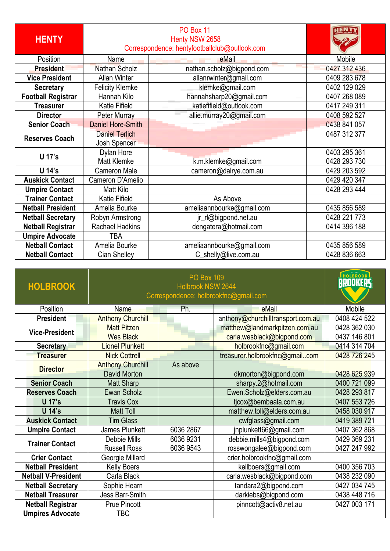| <b>HENTY</b>              | Correspondence: hentyfootballclub@outlook.com |                           |              |
|---------------------------|-----------------------------------------------|---------------------------|--------------|
| Position                  | Name                                          | eMail                     | Mobile       |
| <b>President</b>          | <b>Nathan Scholz</b>                          | nathan.scholz@bigpond.com | 0427 312 436 |
| <b>Vice President</b>     | <b>Allan Winter</b>                           | allanrwinter@gmail.com    | 0409 283 678 |
| <b>Secretary</b>          | <b>Felicity Klemke</b>                        | klemke@gmail.com          | 0402 129 029 |
| <b>Football Registrar</b> | Hannah Kilo                                   | hannahsharp20@gmail.com   | 0407 268 089 |
| <b>Treasurer</b>          | Katie Fifield                                 | katiefifield@outlook.com  | 0417 249 311 |
| <b>Director</b>           | <b>Peter Murray</b>                           | allie.murray20@gmail.com  | 0408 592 527 |
| <b>Senior Coach</b>       | <b>Daniel Hore-Smith</b>                      |                           | 0438 841 057 |
| <b>Reserves Coach</b>     | <b>Daniel Terlich</b>                         |                           | 0487 312 377 |
|                           | Josh Spencer                                  |                           |              |
| U 17's                    | Dylan Hore                                    |                           | 0403 295 361 |
|                           | <b>Matt Klemke</b>                            | k.m.klemke@gmail.com      | 0428 293 730 |
| U 14's                    | <b>Cameron Male</b>                           | cameron@dalrye.com.au     | 0429 203 592 |
| <b>Auskick Contact</b>    | Cameron D'Amelio                              |                           | 0429 420 347 |
| <b>Umpire Contact</b>     | Matt Kilo                                     |                           | 0428 293 444 |
| <b>Trainer Contact</b>    | Katie Fifield                                 | As Above                  |              |
| <b>Netball President</b>  | Amelia Bourke                                 | ameliaannbourke@gmail.com | 0435 856 589 |
| <b>Netball Secretary</b>  | Robyn Armstrong                               | jr_rl@bigpond.net.au      | 0428 221 773 |
| <b>Netball Registrar</b>  | Rachael Hadkins                               | dengatera@hotmail.com     | 0414 396 188 |
| <b>Umpire Advocate</b>    | TBA                                           |                           |              |
| <b>Netball Contact</b>    | Amelia Bourke                                 | ameliaannbourke@gmail.com | 0435 856 589 |
| <b>Netball Contact</b>    | Cian Shelley                                  | C_shelly@live.com.au      | 0428 836 663 |

| <b>HOLBROOK</b>            | Correspondence: holbrookfnc@gmail.com | HOLBROOK<br><b>BROOKERS</b> |                                   |              |
|----------------------------|---------------------------------------|-----------------------------|-----------------------------------|--------------|
| Position                   | <b>Name</b>                           | Ph.                         | eMail                             | Mobile       |
| <b>President</b>           | <b>Anthony Churchill</b>              |                             | anthony@churchilltransport.com.au | 0408 424 522 |
|                            | <b>Matt Pitzen</b>                    |                             | matthew@landmarkpitzen.com.au     | 0428 362 030 |
| <b>Vice-President</b>      | <b>Wes Black</b>                      |                             | carla.wesblack@bigpond.com        | 0437 146 801 |
| <b>Secretary</b>           | <b>Lionel Plunkett</b>                |                             | holbrookfnc@gmail.com             | 0414 314 704 |
| <b>Treasurer</b>           | <b>Nick Cottrell</b>                  |                             | treasurer.holbrookfnc@gmailcom    | 0428 726 245 |
| <b>Director</b>            | <b>Anthony Churchill</b>              | As above                    |                                   |              |
|                            | David Morton                          |                             | dkmorton@bigpond.com              | 0428 625 939 |
| <b>Senior Coach</b>        | Matt Sharp                            |                             | sharpy.2@hotmail.com              | 0400 721 099 |
| <b>Reserves Coach</b>      | Ewan Scholz                           |                             | Ewen.Scholz@elders.com.au         | 0428 293 817 |
| <b>U</b> 17's              | <b>Travis Cox</b>                     |                             | tjcox@bembaala.com.au             | 0407 553 726 |
| <b>U</b> 14's              | <b>Matt Toll</b>                      |                             | matthew.toll@elders.com.au        | 0458 030 917 |
| <b>Auskick Contact</b>     | <b>Tim Glass</b>                      |                             | cwfglass@gmail.com                | 0419 389 721 |
| <b>Umpire Contact</b>      | James Plunkett                        | 6036 2867                   | jnplunkett66@gmail.com            | 0407 362 868 |
| <b>Trainer Contact</b>     | Debbie Mills                          | 6036 9231                   | debbie.mills4@bigpond.com         | 0429 369 231 |
|                            | <b>Russell Ross</b>                   | 6036 9543                   | rosswongalee@bigpond.com          | 0427 247 992 |
| <b>Crier Contact</b>       | Georgie Millard                       |                             | crier.holbrookfnc@gmail.com       |              |
| <b>Netball President</b>   | <b>Kelly Boers</b>                    |                             | kellboers@gmail.com               | 0400 356 703 |
| <b>Netball V-President</b> | Carla Black                           |                             | carla.wesblack@bigpond.com        | 0438 232 090 |
| <b>Netball Secretary</b>   | Sophie Hearn                          |                             | tandara2@bigpond.com              | 0427 034 745 |
| <b>Netball Treasurer</b>   | Jess Barr-Smith                       |                             | darkiebs@bigpond.com              | 0438 448 716 |
| <b>Netball Registrar</b>   | <b>Prue Pincott</b>                   |                             | pinncott@activ8.net.au            | 0427 003 171 |
| <b>Umpires Advocate</b>    | TBC                                   |                             |                                   |              |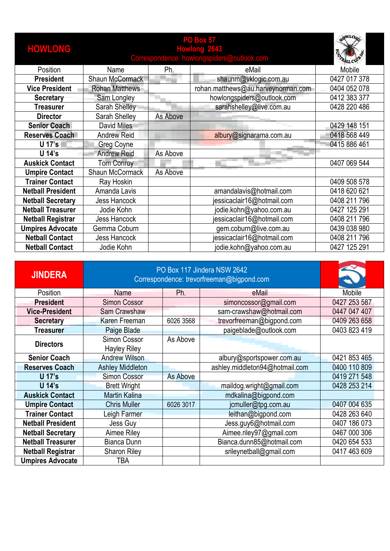| <b>HOWLONG</b>           | Correspondence: howlongspiders@outlook.com |          |                                    |              |
|--------------------------|--------------------------------------------|----------|------------------------------------|--------------|
| Position                 | Name                                       | Ph.      | eMail                              | Mobile       |
| <b>President</b>         | Shaun McCormack                            |          | shaunm@vklogic.com.au              | 0427 017 378 |
| <b>Vice President</b>    | <b>Rohan Matthews</b>                      |          | rohan.matthews@au.harveynorman.com | 0404 052 078 |
| <b>Secretary</b>         | Sam Longley                                |          | howlongspiders@outlook.com         | 0412 383 377 |
| <b>Treasurer</b>         | Sarah Shelley                              |          | sarahshelley@live.com.au           | 0428 220 486 |
| <b>Director</b>          | Sarah Shelley                              | As Above |                                    |              |
| <b>Senior Coach</b>      | David Miles                                |          |                                    | 0429 148 151 |
| Reserves Coach           | <b>Andrew Reid</b>                         |          | albury@signarama.com.au            | 0418 568 449 |
| U 17's                   | <b>Greg Coyne</b>                          |          |                                    | 0415 886 461 |
| U 14's                   | <b>Andrew Reid</b>                         | As Above |                                    |              |
| <b>Auskick Contact</b>   | <b>Tom Conroy</b>                          |          |                                    | 0407 069 544 |
| <b>Umpire Contact</b>    | Shaun McCormack                            | As Above |                                    |              |
| <b>Trainer Contact</b>   | Ray Hoskin                                 |          |                                    | 0409 508 578 |
| <b>Netball President</b> | Amanda Lavis                               |          | amandalavis@hotmail.com            | 0418 620 621 |
| <b>Netball Secretary</b> | <b>Jess Hancock</b>                        |          | jessicaclair16@hotmail.com         | 0408 211 796 |
| <b>Netball Treasurer</b> | Jodie Kohn                                 |          | jodie.kohn@yahoo.com.au            | 0427 125 291 |
| <b>Netball Registrar</b> | Jess Hancock                               |          | jessicaclair16@hotmail.com         | 0408 211 796 |
| <b>Umpires Advocate</b>  | Gemma Coburn                               |          | gem.coburn@live.com.au             | 0439 038 980 |
| <b>Netball Contact</b>   | <b>Jess Hancock</b>                        |          | jessicaclair16@hotmail.com         | 0408 211 796 |
| <b>Netball Contact</b>   | Jodie Kohn                                 |          | jodie.kohn@yahoo.com.au            | 0427 125 291 |

| <b>JINDERA</b>           | PO Box 117 Jindera NSW 2642<br>Correspondence: trevorfreeman@bigpond.com |                 |                                |              |
|--------------------------|--------------------------------------------------------------------------|-----------------|--------------------------------|--------------|
| Position                 | <b>Name</b>                                                              | Ph.             | eMail                          | Mobile       |
| <b>President</b>         | <b>Simon Cossor</b>                                                      |                 | simoncossor@gmail.com          | 0427 253 587 |
| <b>Vice-President</b>    | <b>Sam Crawshaw</b>                                                      |                 | sam-crawshaw@hotmail.com       | 0447 047 407 |
| <b>Secretary</b>         | Karen Freeman                                                            | 6026 3568       | trevorfreeman@bigpond.com      | 0409 263 658 |
| <b>Treasurer</b>         | Paige Blade                                                              |                 | paigeblade@outlook.com         | 0403 823 419 |
| <b>Directors</b>         | Simon Cossor                                                             | As Above        |                                |              |
|                          | <b>Hayley Riley</b>                                                      |                 |                                |              |
| <b>Senior Coach</b>      | <b>Andrew Wilson</b>                                                     |                 | albury@sportspower.com.au      | 0421 853 465 |
| <b>Reserves Coach</b>    | <b>Ashley Middleton</b>                                                  |                 | ashley.middleton94@hotmail.com | 0400 110 809 |
| <b>U</b> 17's            | <b>Simon Cossor</b>                                                      | <b>As Above</b> |                                | 0419 271 548 |
| U 14's                   | <b>Brett Wright</b>                                                      |                 | maildog.wright@gmail.com       | 0428 253 214 |
| <b>Auskick Contact</b>   | <b>Martin Kalina</b>                                                     |                 | mdkalina@bigpond.com           |              |
| <b>Umpire Contact</b>    | <b>Chris Muller</b>                                                      | 6026 3017       | jcmuller@tpg.com.au            | 0407 004 635 |
| <b>Trainer Contact</b>   | Leigh Farmer                                                             |                 | leithan@bigpond.com            | 0428 263 640 |
| <b>Netball President</b> | Jess Guy                                                                 |                 | Jess.guy6@hotmail.com          | 0407 186 073 |
| <b>Netball Secretary</b> | Aimee Riley                                                              |                 | Aimee.riley97@gmail.com        | 0467 000 306 |
| <b>Netball Treasurer</b> | Bianca Dunn                                                              |                 | Bianca.dunn85@hotmail.com      | 0420 654 533 |
| <b>Netball Registrar</b> | <b>Sharon Riley</b>                                                      |                 | srileynetball@gmail.com        | 0417 463 609 |
| <b>Umpires Advocate</b>  | TBA                                                                      |                 |                                |              |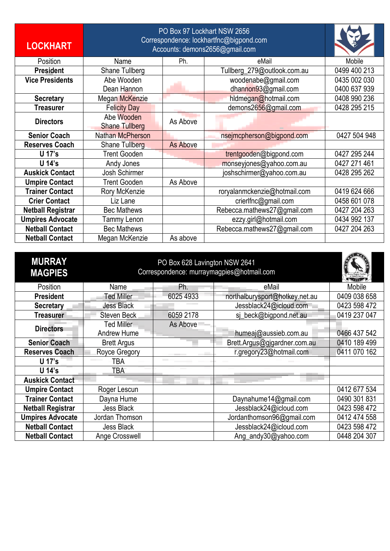| <b>LOCKHART</b>          | PO Box 97 Lockhart NSW 2656<br>Correspondence: lockhartfnc@bigpond.com<br>Accounts: demons2656@gmail.com |                 |                              |              |
|--------------------------|----------------------------------------------------------------------------------------------------------|-----------------|------------------------------|--------------|
| Position                 | Name                                                                                                     | Ph.             | eMail                        | Mobile       |
| <b>President</b>         | Shane Tullberg                                                                                           |                 | Tullberg_279@outlook.com.au  | 0499 400 213 |
| <b>Vice Presidents</b>   | Abe Wooden                                                                                               |                 | woodenabe@gmail.com          | 0435 002 030 |
|                          | Dean Hannon                                                                                              |                 | dhannon93@gmail.com          | 0400 637 939 |
| <b>Secretary</b>         | Megan McKenzie                                                                                           |                 | hldmegan@hotmail.com         | 0408 990 236 |
| <b>Treasurer</b>         | <b>Felicity Day</b>                                                                                      |                 | demons2656@gmail.com         | 0428 295 215 |
| <b>Directors</b>         | Abe Wooden<br><b>Shane Tullberg</b>                                                                      | As Above        |                              |              |
| <b>Senior Coach</b>      | Nathan McPherson                                                                                         |                 | nsejmcpherson@bigpond.com    | 0427 504 948 |
| <b>Reserves Coach</b>    | Shane Tullberg                                                                                           | <b>As Above</b> |                              |              |
| U 17's                   | <b>Trent Gooden</b>                                                                                      |                 | trentgooden@bigpond.com      | 0427 295 244 |
| U 14's                   | Andy Jones                                                                                               |                 | monseyjones@yahoo.com.au     | 0427 271 461 |
| <b>Auskick Contact</b>   | Josh Schirmer                                                                                            |                 | joshschirmer@yahoo.com.au    | 0428 295 262 |
| <b>Umpire Contact</b>    | <b>Trent Gooden</b>                                                                                      | As Above        |                              |              |
| <b>Trainer Contact</b>   | Rory McKenzie                                                                                            |                 | roryalanmckenzie@hotmail.com | 0419 624 666 |
| <b>Crier Contact</b>     | Liz Lane                                                                                                 |                 | crierlfnc@gmail.com          | 0458 601 078 |
| <b>Netball Registrar</b> | <b>Bec Mathews</b>                                                                                       |                 | Rebecca.mathews27@gmail.com  | 0427 204 263 |
| <b>Umpires Advocate</b>  | Tammy Lenon                                                                                              |                 | ezzy.girl@hotmail.com        | 0434 992 137 |
| <b>Netball Contact</b>   | <b>Bec Mathews</b>                                                                                       |                 | Rebecca.mathews27@gmail.com  | 0427 204 263 |
| <b>Netball Contact</b>   | Megan McKenzie                                                                                           | As above        |                              |              |

| <b>MURRAY</b><br><b>MAGPIES</b> | Correspondence: murraymagpies@hotmail.com |           |                                |              |
|---------------------------------|-------------------------------------------|-----------|--------------------------------|--------------|
| Position                        | Name                                      | Ph.       | eMail                          | Mobile       |
| <b>President</b>                | Ted Miller                                | 6025 4933 | northalburysport@hotkey.net.au | 0409 038 658 |
| <b>Secretary</b>                | <b>Jess Black</b>                         |           | Jessblack24@icloud.com         | 0423 598 472 |
| <b>Treasurer</b>                | <b>Steven Beck</b>                        | 6059 2178 | sj_beck@bigpond.net.au         | 0419 237 047 |
| <b>Directors</b>                | Ted Miller                                | As Above  |                                |              |
|                                 | <b>Andrew Hume</b>                        |           | humeaj@aussieb.com.au          | 0466 437 542 |
| <b>Senior Coach</b>             | <b>Brett Argus</b>                        |           | Brett.Argus@gjgardner.com.au   | 0410 189 499 |
| <b>Reserves Coach</b>           | Royce Gregory                             |           | r.gregory23@hotmail.com        | 0411 070 162 |
| U 17's                          | TBA                                       |           |                                |              |
| U 14's                          | TBA                                       |           |                                |              |
| <b>Auskick Contact</b>          |                                           |           |                                |              |
| <b>Umpire Contact</b>           | Roger Lescun                              |           |                                | 0412 677 534 |
| <b>Trainer Contact</b>          | Dayna Hume                                |           | Daynahume14@gmail.com          | 0490 301 831 |
| <b>Netball Registrar</b>        | <b>Jess Black</b>                         |           | Jessblack24@icloud.com         | 0423 598 472 |
| <b>Umpires Advocate</b>         | Jordan Thomson                            |           | Jordanthomson96@gmail.com      | 0412 474 558 |
| <b>Netball Contact</b>          | Jess Black                                |           | Jessblack24@icloud.com         | 0423 598 472 |
| <b>Netball Contact</b>          | Ange Crosswell                            |           | Ang_andy30@yahoo.com           | 0448 204 307 |